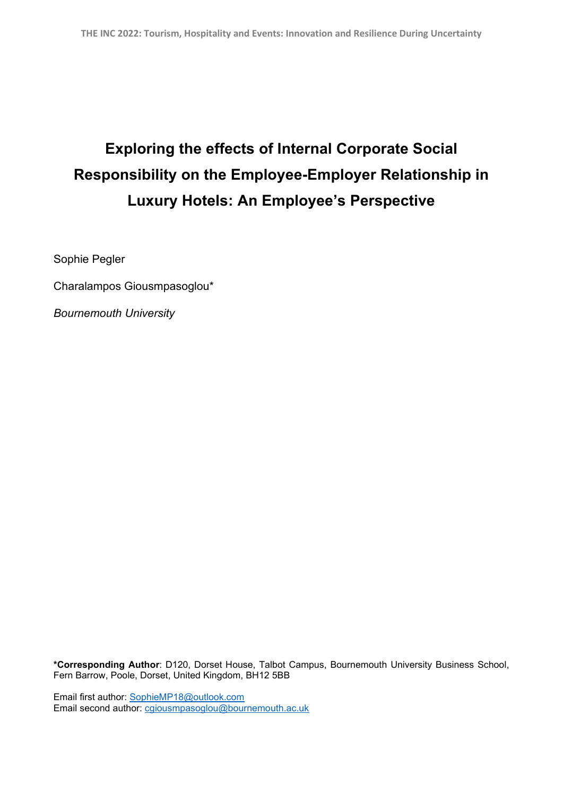## **Exploring the effects of Internal Corporate Social Responsibility on the Employee-Employer Relationship in Luxury Hotels: An Employee's Perspective**

Sophie Pegler

Charalampos Giousmpasoglou\*

*Bournemouth University* 

**\*Corresponding Author**: D120, Dorset House, Talbot Campus, Bournemouth University Business School, Fern Barrow, Poole, Dorset, United Kingdom, BH12 5BB

Email first author: [SophieMP18@outlook.com](mailto:SophieMP18@outlook.com) Email second author: [cgiousmpasoglou@bournemouth.ac.uk](mailto:cgiousmpasoglou@bournemouth.ac.uk)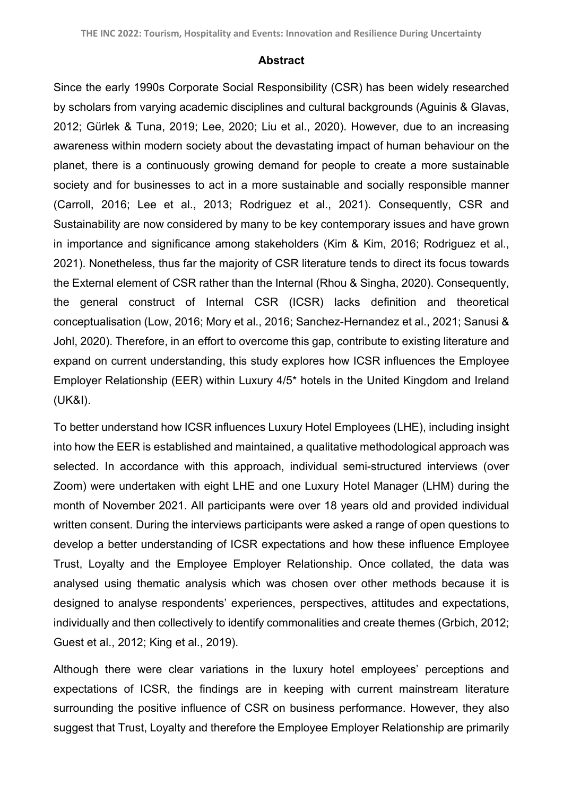## **Abstract**

Since the early 1990s Corporate Social Responsibility (CSR) has been widely researched by scholars from varying academic disciplines and cultural backgrounds (Aguinis & Glavas, 2012; Gürlek & Tuna, 2019; Lee, 2020; Liu et al., 2020). However, due to an increasing awareness within modern society about the devastating impact of human behaviour on the planet, there is a continuously growing demand for people to create a more sustainable society and for businesses to act in a more sustainable and socially responsible manner (Carroll, 2016; Lee et al., 2013; Rodriguez et al., 2021). Consequently, CSR and Sustainability are now considered by many to be key contemporary issues and have grown in importance and significance among stakeholders (Kim & Kim, 2016; Rodriguez et al., 2021). Nonetheless, thus far the majority of CSR literature tends to direct its focus towards the External element of CSR rather than the Internal (Rhou & Singha, 2020). Consequently, the general construct of Internal CSR (ICSR) lacks definition and theoretical conceptualisation (Low, 2016; Mory et al., 2016; Sanchez-Hernandez et al., 2021; Sanusi & Johl, 2020). Therefore, in an effort to overcome this gap, contribute to existing literature and expand on current understanding, this study explores how ICSR influences the Employee Employer Relationship (EER) within Luxury 4/5\* hotels in the United Kingdom and Ireland (UK&I).

To better understand how ICSR influences Luxury Hotel Employees (LHE), including insight into how the EER is established and maintained, a qualitative methodological approach was selected. In accordance with this approach, individual semi-structured interviews (over Zoom) were undertaken with eight LHE and one Luxury Hotel Manager (LHM) during the month of November 2021. All participants were over 18 years old and provided individual written consent. During the interviews participants were asked a range of open questions to develop a better understanding of ICSR expectations and how these influence Employee Trust, Loyalty and the Employee Employer Relationship. Once collated, the data was analysed using thematic analysis which was chosen over other methods because it is designed to analyse respondents' experiences, perspectives, attitudes and expectations, individually and then collectively to identify commonalities and create themes (Grbich, 2012; Guest et al., 2012; King et al., 2019).

Although there were clear variations in the luxury hotel employees' perceptions and expectations of ICSR, the findings are in keeping with current mainstream literature surrounding the positive influence of CSR on business performance. However, they also suggest that Trust, Loyalty and therefore the Employee Employer Relationship are primarily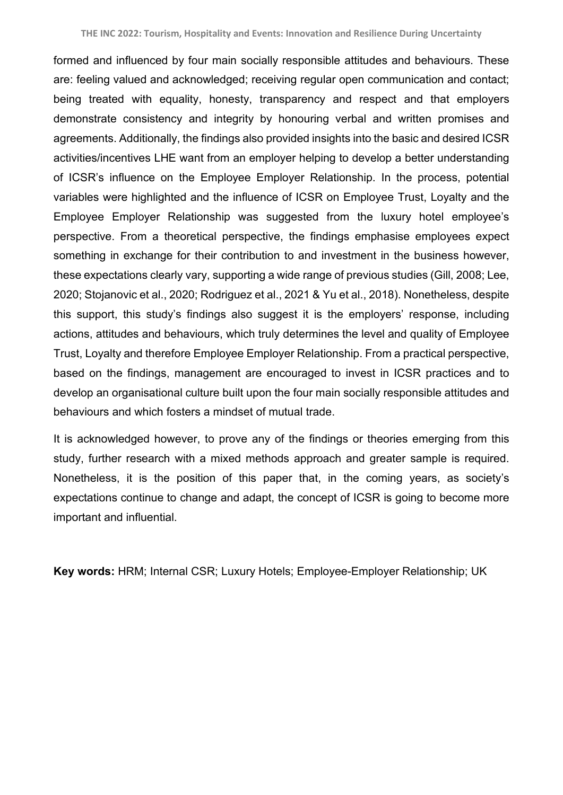formed and influenced by four main socially responsible attitudes and behaviours. These are: feeling valued and acknowledged; receiving regular open communication and contact; being treated with equality, honesty, transparency and respect and that employers demonstrate consistency and integrity by honouring verbal and written promises and agreements. Additionally, the findings also provided insights into the basic and desired ICSR activities/incentives LHE want from an employer helping to develop a better understanding of ICSR's influence on the Employee Employer Relationship. In the process, potential variables were highlighted and the influence of ICSR on Employee Trust, Loyalty and the Employee Employer Relationship was suggested from the luxury hotel employee's perspective. From a theoretical perspective, the findings emphasise employees expect something in exchange for their contribution to and investment in the business however, these expectations clearly vary, supporting a wide range of previous studies (Gill, 2008; Lee, 2020; Stojanovic et al., 2020; Rodriguez et al., 2021 & Yu et al., 2018). Nonetheless, despite this support, this study's findings also suggest it is the employers' response, including actions, attitudes and behaviours, which truly determines the level and quality of Employee Trust, Loyalty and therefore Employee Employer Relationship. From a practical perspective, based on the findings, management are encouraged to invest in ICSR practices and to develop an organisational culture built upon the four main socially responsible attitudes and behaviours and which fosters a mindset of mutual trade.

It is acknowledged however, to prove any of the findings or theories emerging from this study, further research with a mixed methods approach and greater sample is required. Nonetheless, it is the position of this paper that, in the coming years, as society's expectations continue to change and adapt, the concept of ICSR is going to become more important and influential.

**Key words:** HRM; Internal CSR; Luxury Hotels; Employee-Employer Relationship; UK